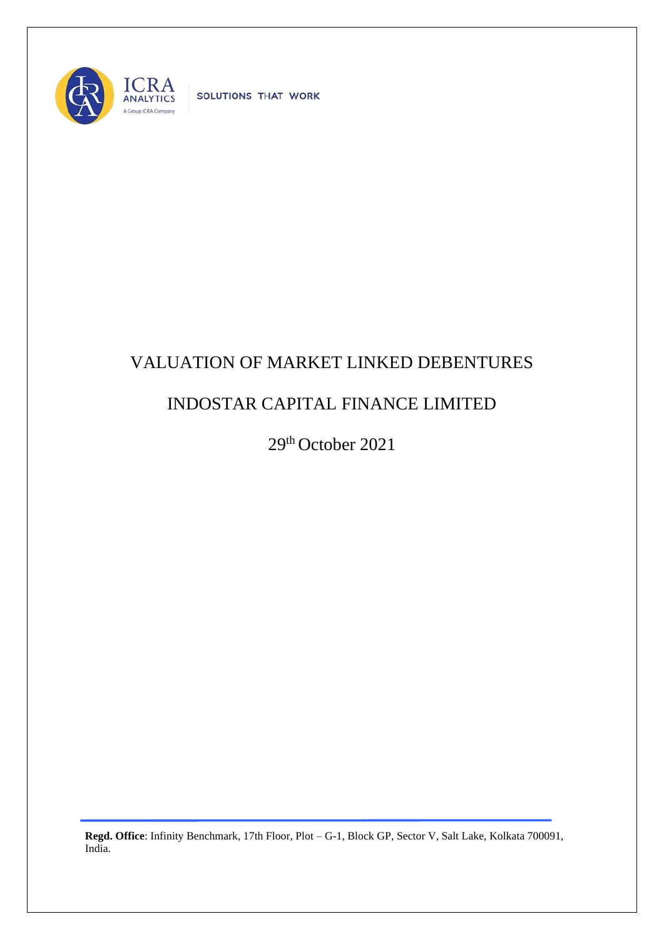

SOLUTIONS THAT WORK

## VALUATION OF MARKET LINKED DEBENTURES

## INDOSTAR CAPITAL FINANCE LIMITED

29 th October 2021

**Regd. Office**: Infinity Benchmark, 17th Floor, Plot – G-1, Block GP, Sector V, Salt Lake, Kolkata 700091, India.